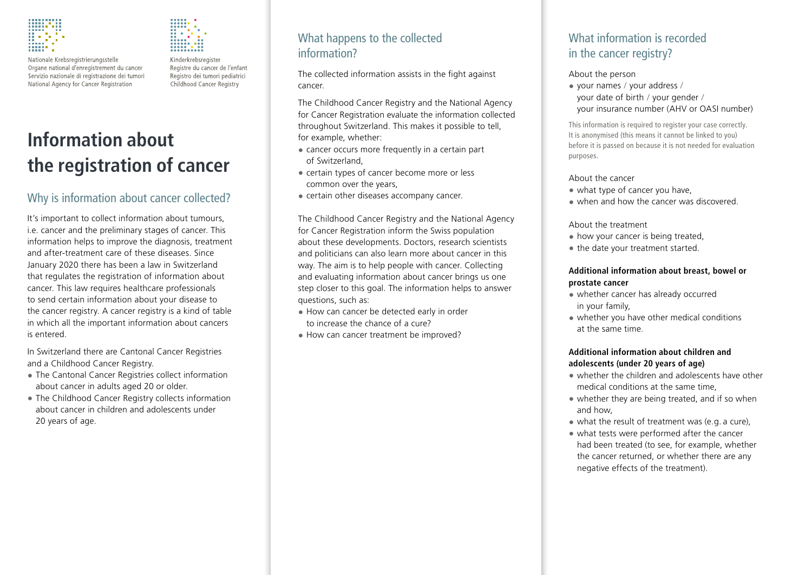

Nationale Krebsregistrierungsstelle Organe national d'enregistrement du cancer Servizio nazionale di registrazione dei tumori National Agency for Cancer Registration



Kinderkrebsregister Registre du cancer de l'enfant Registro dei tumori pediatrici Childhood Cancer Registry

# **Information about the registration of cancer**

# Why is information about cancer collected?

It's important to collect information about tumours, i.e. cancer and the preliminary stages of cancer. This information helps to improve the diagnosis, treatment and after-treatment care of these diseases. Since January 2020 there has been a law in Switzerland that regulates the registration of information about cancer. This law requires healthcare professionals to send certain information about your disease to the cancer registry. A cancer registry is a kind of table in which all the important information about cancers is entered.

In Switzerland there are Cantonal Cancer Registries and a Childhood Cancer Registry.

- The Cantonal Cancer Registries collect information about cancer in adults aged 20 or older.
- The Childhood Cancer Registry collects information about cancer in children and adolescents under 20 years of age.

# What happens to the collected information?

The collected information assists in the fight against cancer.

The Childhood Cancer Registry and the National Agency for Cancer Registration evaluate the information collected throughout Switzerland. This makes it possible to tell, for example, whether:

- cancer occurs more frequently in a certain part of Switzerland,
- certain types of cancer become more or less common over the years,
- certain other diseases accompany cancer.

The Childhood Cancer Registry and the National Agency for Cancer Registration inform the Swiss population about these developments. Doctors, research scientists and politicians can also learn more about cancer in this way. The aim is to help people with cancer. Collecting and evaluating information about cancer brings us one step closer to this goal. The information helps to answer questions, such as:

- How can cancer be detected early in order to increase the chance of a cure?
- How can cancer treatment be improved?

# What information is recorded in the cancer registry?

#### About the person

• your names / your address / your date of birth / your gender / your insurance number (AHV or OASI number)

This information is required to register your case correctly. It is anonymised (this means it cannot be linked to you) before it is passed on because it is not needed for evaluation purposes.

#### About the cancer

- what type of cancer you have,
- when and how the cancer was discovered.

#### About the treatment

- how your cancer is being treated,
- the date your treatment started.

#### **Additional information about breast, bowel or prostate cancer**

- whether cancer has already occurred in your family,
- whether you have other medical conditions at the same time.

#### **Additional information about children and adolescents (under 20 years of age)**

- whether the children and adolescents have other medical conditions at the same time,
- whether they are being treated, and if so when and how,
- what the result of treatment was (e.g. a cure),
- what tests were performed after the cancer had been treated (to see, for example, whether the cancer returned, or whether there are any negative effects of the treatment).